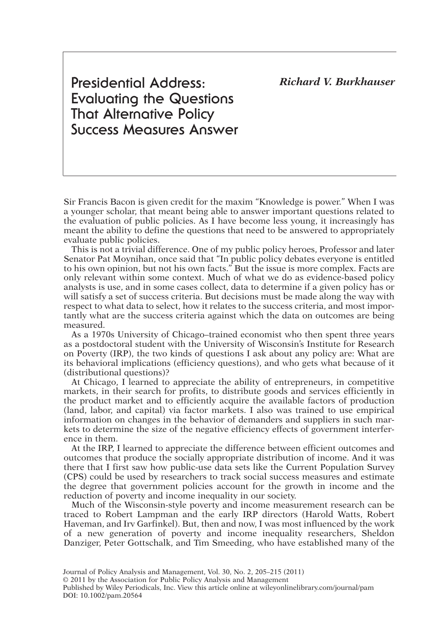*Richard V. Burkhauser*

# **Presidential Address: Evaluating the Questions That Alternative Policy Success Measures Answer**

Sir Francis Bacon is given credit for the maxim "Knowledge is power." When I was a younger scholar, that meant being able to answer important questions related to the evaluation of public policies. As I have become less young, it increasingly has meant the ability to define the questions that need to be answered to appropriately evaluate public policies.

This is not a trivial difference. One of my public policy heroes, Professor and later Senator Pat Moynihan, once said that "In public policy debates everyone is entitled to his own opinion, but not his own facts." But the issue is more complex. Facts are only relevant within some context. Much of what we do as evidence-based policy analysts is use, and in some cases collect, data to determine if a given policy has or will satisfy a set of success criteria. But decisions must be made along the way with respect to what data to select, how it relates to the success criteria, and most importantly what are the success criteria against which the data on outcomes are being measured.

As a 1970s University of Chicago–trained economist who then spent three years as a postdoctoral student with the University of Wisconsin's Institute for Research on Poverty (IRP), the two kinds of questions I ask about any policy are: What are its behavioral implications (efficiency questions), and who gets what because of it (distributional questions)?

At Chicago, I learned to appreciate the ability of entrepreneurs, in competitive markets, in their search for profits, to distribute goods and services efficiently in the product market and to efficiently acquire the available factors of production (land, labor, and capital) via factor markets. I also was trained to use empirical information on changes in the behavior of demanders and suppliers in such markets to determine the size of the negative efficiency effects of government interference in them.

At the IRP, I learned to appreciate the difference between efficient outcomes and outcomes that produce the socially appropriate distribution of income. And it was there that I first saw how public-use data sets like the Current Population Survey (CPS) could be used by researchers to track social success measures and estimate the degree that government policies account for the growth in income and the reduction of poverty and income inequality in our society.

Much of the Wisconsin-style poverty and income measurement research can be traced to Robert Lampman and the early IRP directors (Harold Watts, Robert Haveman, and Irv Garfinkel). But, then and now, I was most influenced by the work of a new generation of poverty and income inequality researchers, Sheldon Danziger, Peter Gottschalk, and Tim Smeeding, who have established many of the

© 2011 by the Association for Public Policy Analysis and Management

Published by Wiley Periodicals, Inc. View this article online at wileyonlinelibrary.com/journal/pam DOI: 10.1002/pam.20564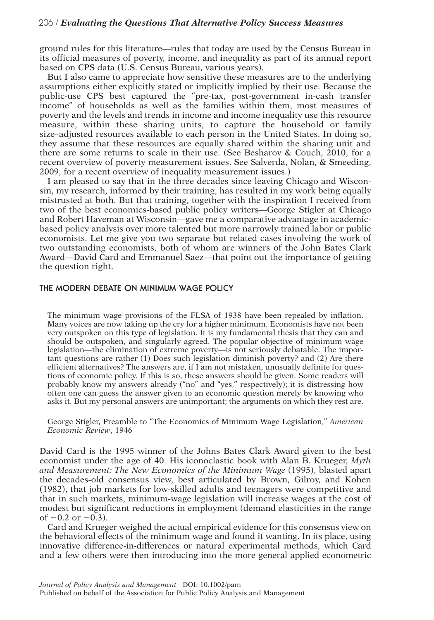ground rules for this literature—rules that today are used by the Census Bureau in its official measures of poverty, income, and inequality as part of its annual report based on CPS data (U.S. Census Bureau, various years).

But I also came to appreciate how sensitive these measures are to the underlying assumptions either explicitly stated or implicitly implied by their use. Because the public-use CPS best captured the "pre-tax, post-government in-cash transfer income" of households as well as the families within them, most measures of poverty and the levels and trends in income and income inequality use this resource measure, within these sharing units, to capture the household or family size–adjusted resources available to each person in the United States. In doing so, they assume that these resources are equally shared within the sharing unit and there are some returns to scale in their use. (See Besharov & Couch, 2010, for a recent overview of poverty measurement issues. See Salverda, Nolan, & Smeeding, 2009, for a recent overview of inequality measurement issues.)

I am pleased to say that in the three decades since leaving Chicago and Wisconsin, my research, informed by their training, has resulted in my work being equally mistrusted at both. But that training, together with the inspiration I received from two of the best economics-based public policy writers—George Stigler at Chicago and Robert Haveman at Wisconsin—gave me a comparative advantage in academicbased policy analysis over more talented but more narrowly trained labor or public economists. Let me give you two separate but related cases involving the work of two outstanding economists, both of whom are winners of the John Bates Clark Award—David Card and Emmanuel Saez—that point out the importance of getting the question right.

# **THE MODERN DEBATE ON MINIMUM WAGE POLICY**

The minimum wage provisions of the FLSA of 1938 have been repealed by inflation. Many voices are now taking up the cry for a higher minimum. Economists have not been very outspoken on this type of legislation. It is my fundamental thesis that they can and should be outspoken, and singularly agreed. The popular objective of minimum wage legislation—the elimination of extreme poverty—is not seriously debatable. The important questions are rather (1) Does such legislation diminish poverty? and (2) Are there efficient alternatives? The answers are, if I am not mistaken, unusually definite for questions of economic policy. If this is so, these answers should be given. Some readers will probably know my answers already ("no" and "yes," respectively); it is distressing how often one can guess the answer given to an economic question merely by knowing who asks it. But my personal answers are unimportant; the arguments on which they rest are.

George Stigler, Preamble to "The Economics of Minimum Wage Legislation," *American Economic Review*, 1946

David Card is the 1995 winner of the Johns Bates Clark Award given to the best economist under the age of 40. His iconoclastic book with Alan B. Krueger, *Myth and Measurement: The New Economics of the Minimum Wage* (1995), blasted apart the decades-old consensus view, best articulated by Brown, Gilroy, and Kohen (1982), that job markets for low-skilled adults and teenagers were competitive and that in such markets, minimum-wage legislation will increase wages at the cost of modest but significant reductions in employment (demand elasticities in the range of  $-0.2$  or  $-0.3$ ).

Card and Krueger weighed the actual empirical evidence for this consensus view on the behavioral effects of the minimum wage and found it wanting. In its place, using innovative difference-in-differences or natural experimental methods, which Card and a few others were then introducing into the more general applied econometric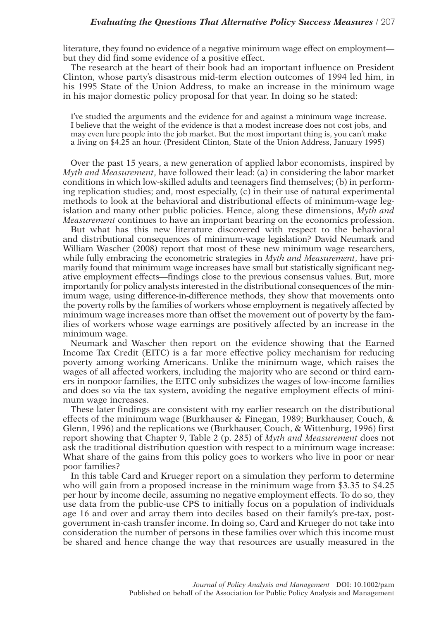literature, they found no evidence of a negative minimum wage effect on employment but they did find some evidence of a positive effect.

The research at the heart of their book had an important influence on President Clinton, whose party's disastrous mid-term election outcomes of 1994 led him, in his 1995 State of the Union Address, to make an increase in the minimum wage in his major domestic policy proposal for that year. In doing so he stated:

I've studied the arguments and the evidence for and against a minimum wage increase. I believe that the weight of the evidence is that a modest increase does not cost jobs, and may even lure people into the job market. But the most important thing is, you can't make a living on \$4.25 an hour. (President Clinton, State of the Union Address, January 1995)

Over the past 15 years, a new generation of applied labor economists, inspired by *Myth and Measurement*, have followed their lead: (a) in considering the labor market conditions in which low-skilled adults and teenagers find themselves; (b) in performing replication studies; and, most especially, (c) in their use of natural experimental methods to look at the behavioral and distributional effects of minimum-wage legislation and many other public policies. Hence, along these dimensions, *Myth and Measurement* continues to have an important bearing on the economics profession.

But what has this new literature discovered with respect to the behavioral and distributional consequences of minimum-wage legislation? David Neumark and William Wascher (2008) report that most of these new minimum wage researchers, while fully embracing the econometric strategies in *Myth and Measurement*, have primarily found that minimum wage increases have small but statistically significant negative employment effects—findings close to the previous consensus values. But, more importantly for policy analysts interested in the distributional consequences of the minimum wage, using difference-in-difference methods, they show that movements onto the poverty rolls by the families of workers whose employment is negatively affected by minimum wage increases more than offset the movement out of poverty by the families of workers whose wage earnings are positively affected by an increase in the minimum wage.

Neumark and Wascher then report on the evidence showing that the Earned Income Tax Credit (EITC) is a far more effective policy mechanism for reducing poverty among working Americans. Unlike the minimum wage, which raises the wages of all affected workers, including the majority who are second or third earners in nonpoor families, the EITC only subsidizes the wages of low-income families and does so via the tax system, avoiding the negative employment effects of minimum wage increases.

These later findings are consistent with my earlier research on the distributional effects of the minimum wage (Burkhauser & Finegan, 1989; Burkhauser, Couch, & Glenn, 1996) and the replications we (Burkhauser, Couch, & Wittenburg, 1996) first report showing that Chapter 9, Table 2 (p. 285) of *Myth and Measurement* does not ask the traditional distribution question with respect to a minimum wage increase: What share of the gains from this policy goes to workers who live in poor or near poor families?

In this table Card and Krueger report on a simulation they perform to determine who will gain from a proposed increase in the minimum wage from \$3.35 to \$4.25 per hour by income decile, assuming no negative employment effects. To do so, they use data from the public-use CPS to initially focus on a population of individuals age 16 and over and array them into deciles based on their family's pre-tax, postgovernment in-cash transfer income. In doing so, Card and Krueger do not take into consideration the number of persons in these families over which this income must be shared and hence change the way that resources are usually measured in the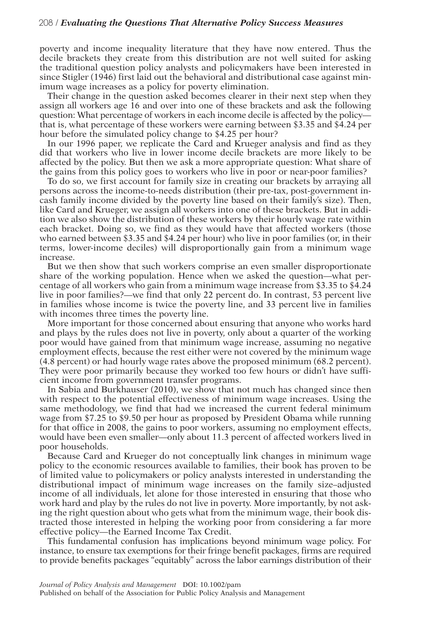poverty and income inequality literature that they have now entered. Thus the decile brackets they create from this distribution are not well suited for asking the traditional question policy analysts and policymakers have been interested in since Stigler (1946) first laid out the behavioral and distributional case against minimum wage increases as a policy for poverty elimination.

Their change in the question asked becomes clearer in their next step when they assign all workers age 16 and over into one of these brackets and ask the following question: What percentage of workers in each income decile is affected by the policy that is, what percentage of these workers were earning between \$3.35 and \$4.24 per hour before the simulated policy change to \$4.25 per hour?

In our 1996 paper, we replicate the Card and Krueger analysis and find as they did that workers who live in lower income decile brackets are more likely to be affected by the policy. But then we ask a more appropriate question: What share of the gains from this policy goes to workers who live in poor or near-poor families?

To do so, we first account for family size in creating our brackets by arraying all persons across the income-to-needs distribution (their pre-tax, post-government incash family income divided by the poverty line based on their family's size). Then, like Card and Krueger, we assign all workers into one of these brackets. But in addition we also show the distribution of these workers by their hourly wage rate within each bracket. Doing so, we find as they would have that affected workers (those who earned between \$3.35 and \$4.24 per hour) who live in poor families (or, in their terms, lower-income deciles) will disproportionally gain from a minimum wage increase.

But we then show that such workers comprise an even smaller disproportionate share of the working population. Hence when we asked the question—what percentage of all workers who gain from a minimum wage increase from \$3.35 to \$4.24 live in poor families?—we find that only 22 percent do. In contrast, 53 percent live in families whose income is twice the poverty line, and 33 percent live in families with incomes three times the poverty line.

More important for those concerned about ensuring that anyone who works hard and plays by the rules does not live in poverty, only about a quarter of the working poor would have gained from that minimum wage increase, assuming no negative employment effects, because the rest either were not covered by the minimum wage (4.8 percent) or had hourly wage rates above the proposed minimum (68.2 percent). They were poor primarily because they worked too few hours or didn't have sufficient income from government transfer programs.

In Sabia and Burkhauser (2010), we show that not much has changed since then with respect to the potential effectiveness of minimum wage increases. Using the same methodology, we find that had we increased the current federal minimum wage from \$7.25 to \$9.50 per hour as proposed by President Obama while running for that office in 2008, the gains to poor workers, assuming no employment effects, would have been even smaller—only about 11.3 percent of affected workers lived in poor households.

Because Card and Krueger do not conceptually link changes in minimum wage policy to the economic resources available to families, their book has proven to be of limited value to policymakers or policy analysts interested in understanding the distributional impact of minimum wage increases on the family size–adjusted income of all individuals, let alone for those interested in ensuring that those who work hard and play by the rules do not live in poverty. More importantly, by not asking the right question about who gets what from the minimum wage, their book distracted those interested in helping the working poor from considering a far more effective policy—the Earned Income Tax Credit.

This fundamental confusion has implications beyond minimum wage policy. For instance, to ensure tax exemptions for their fringe benefit packages, firms are required to provide benefits packages "equitably" across the labor earnings distribution of their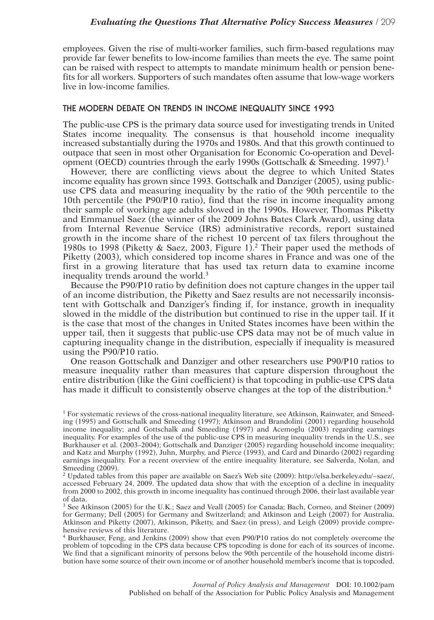employees. Given the rise of multi-worker families, such firm-based regulations may provide far fewer benefits to low-income families than meets the eye. The same point can be raised with respect to attempts to mandate minimum health or pension benefits for all workers. Supporters of such mandates often assume that low-wage workers live in low-income families.

# **THE MODERN DEBATE ON TRENDS IN INCOME INEQUALITY SINCE 1993**

The public-use CPS is the primary data source used for investigating trends in United States income inequality. The consensus is that household income inequality increased substantially during the 1970s and 1980s. And that this growth continued to outpace that seen in most other Organisation for Economic Co-operation and Development (OECD) countries through the early 1990s (Gottschalk & Smeeding. 1997).<sup>1</sup>

However, there are conflicting views about the degree to which United States income equality has grown since 1993. Gottschalk and Danziger (2005), using publicuse CPS data and measuring inequality by the ratio of the 90th percentile to the 10th percentile (the P90/P10 ratio), find that the rise in income inequality among their sample of working age adults slowed in the 1990s. However, Thomas Piketty and Emmanuel Saez (the winner of the 2009 Johns Bates Clark Award), using data from Internal Revenue Service (IRS) administrative records, report sustained growth in the income share of the richest 10 percent of tax filers throughout the 1980s to 1998 (Piketty & Saez, 2003, Figure 1).<sup>2</sup> Their paper used the methods of Piketty (2003), which considered top income shares in France and was one of the first in a growing literature that has used tax return data to examine income inequality trends around the world.3

Because the P90/P10 ratio by definition does not capture changes in the upper tail of an income distribution, the Piketty and Saez results are not necessarily inconsistent with Gottschalk and Danziger's finding if, for instance, growth in inequality slowed in the middle of the distribution but continued to rise in the upper tail. If it is the case that most of the changes in United States incomes have been within the upper tail, then it suggests that public-use CPS data may not be of much value in capturing inequality change in the distribution, especially if inequality is measured using the P90/P10 ratio.

One reason Gottschalk and Danziger and other researchers use P90/P10 ratios to measure inequality rather than measures that capture dispersion throughout the entire distribution (like the Gini coefficient) is that topcoding in public-use CPS data has made it difficult to consistently observe changes at the top of the distribution.<sup>4</sup>

<sup>2</sup> Updated tables from this paper are available on Saez's Web site (2009): http://elsa.berkeley.edu/~saez/, accessed February 24, 2009. The updated data show that with the exception of a decline in inequality from 2000 to 2002, this growth in income inequality has continued through 2006, their last available year of data.

<sup>3</sup> See Atkinson (2005) for the U.K.; Saez and Veall (2005) for Canada; Bach, Corneo, and Steiner (2009) for Germany; Dell (2005) for Germany and Switzerland; and Atkinson and Leigh (2007) for Australia. Atkinson and Piketty (2007), Atkinson, Piketty, and Saez (in press), and Leigh (2009) provide comprehensive reviews of this literature.

<sup>4</sup> Burkhauser, Feng, and Jenkins (2009) show that even P90/P10 ratios do not completely overcome the problem of topcoding in the CPS data because CPS topcoding is done for each of its sources of income. We find that a significant minority of persons below the 90th percentile of the household income distribution have some source of their own income or of another household member's income that is topcoded.

<sup>1</sup> For systematic reviews of the cross-national inequality literature, see Atkinson, Rainwater, and Smeeding (1995) and Gottschalk and Smeeding (1997); Atkinson and Brandolini (2001) regarding household income inequality; and Gottschalk and Smeeding (1997) and Acemoglu (2003) regarding earnings inequality. For examples of the use of the public-use CPS in measuring inequality trends in the U.S., see Burkhauser et al. (2003–2004); Gottschalk and Danziger (2005) regarding household income inequality; and Katz and Murphy (1992), Juhn, Murphy, and Pierce (1993), and Card and Dinardo (2002) regarding earnings inequality. For a recent overview of the entire inequality literature, see Salverda, Nolan, and Smeeding (2009).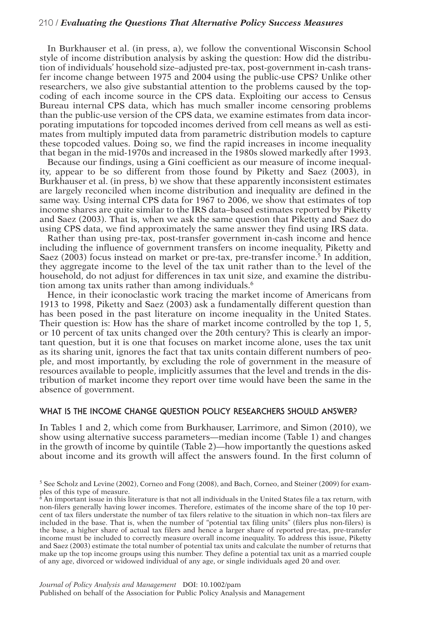In Burkhauser et al. (in press, a), we follow the conventional Wisconsin School style of income distribution analysis by asking the question: How did the distribution of individuals' household size–adjusted pre-tax, post-government in-cash transfer income change between 1975 and 2004 using the public-use CPS? Unlike other researchers, we also give substantial attention to the problems caused by the topcoding of each income source in the CPS data. Exploiting our access to Census Bureau internal CPS data, which has much smaller income censoring problems than the public-use version of the CPS data, we examine estimates from data incorporating imputations for topcoded incomes derived from cell means as well as estimates from multiply imputed data from parametric distribution models to capture these topcoded values. Doing so, we find the rapid increases in income inequality that began in the mid-1970s and increased in the 1980s slowed markedly after 1993.

Because our findings, using a Gini coefficient as our measure of income inequality, appear to be so different from those found by Piketty and Saez (2003), in Burkhauser et al. (in press, b) we show that these apparently inconsistent estimates are largely reconciled when income distribution and inequality are defined in the same way. Using internal CPS data for 1967 to 2006, we show that estimates of top income shares are quite similar to the IRS data–based estimates reported by Piketty and Saez (2003). That is, when we ask the same question that Piketty and Saez do using CPS data, we find approximately the same answer they find using IRS data.

Rather than using pre-tax, post-transfer government in-cash income and hence including the influence of government transfers on income inequality, Piketty and Saez (2003) focus instead on market or pre-tax, pre-transfer income.<sup>5</sup> In addition, they aggregate income to the level of the tax unit rather than to the level of the household, do not adjust for differences in tax unit size, and examine the distribution among tax units rather than among individuals.<sup>6</sup>

Hence, in their iconoclastic work tracing the market income of Americans from 1913 to 1998, Piketty and Saez (2003) ask a fundamentally different question than has been posed in the past literature on income inequality in the United States. Their question is: How has the share of market income controlled by the top 1, 5, or 10 percent of tax units changed over the 20th century? This is clearly an important question, but it is one that focuses on market income alone, uses the tax unit as its sharing unit, ignores the fact that tax units contain different numbers of people, and most importantly, by excluding the role of government in the measure of resources available to people, implicitly assumes that the level and trends in the distribution of market income they report over time would have been the same in the absence of government.

#### **WHAT IS THE INCOME CHANGE QUESTION POLICY RESEARCHERS SHOULD ANSWER?**

In Tables 1 and 2, which come from Burkhauser, Larrimore, and Simon (2010), we show using alternative success parameters—median income (Table 1) and changes in the growth of income by quintile (Table 2)—how importantly the questions asked about income and its growth will affect the answers found. In the first column of

<sup>5</sup> See Scholz and Levine (2002), Corneo and Fong (2008), and Bach, Corneo, and Steiner (2009) for examples of this type of measure.

<sup>6</sup> An important issue in this literature is that not all individuals in the United States file a tax return, with non-filers generally having lower incomes. Therefore, estimates of the income share of the top 10 percent of tax filers understate the number of tax filers relative to the situation in which non–tax filers are included in the base. That is, when the number of "potential tax filing units" (filers plus non-filers) is the base, a higher share of actual tax filers and hence a larger share of reported pre-tax, pre-transfer income must be included to correctly measure overall income inequality. To address this issue, Piketty and Saez (2003) estimate the total number of potential tax units and calculate the number of returns that make up the top income groups using this number. They define a potential tax unit as a married couple of any age, divorced or widowed individual of any age, or single individuals aged 20 and over.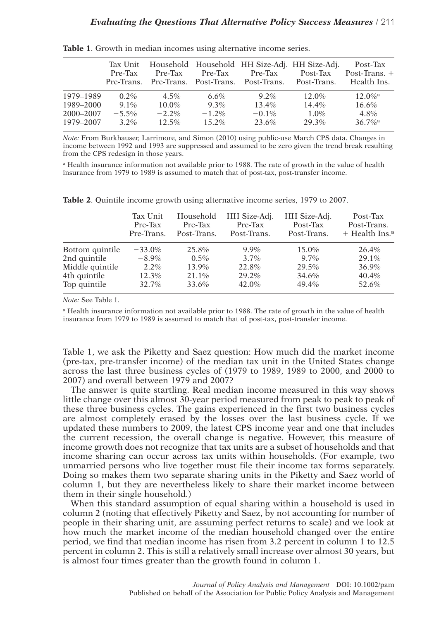|           | Tax Unit<br>Pre-Tax | Pre-Tax  | Pre-Tax  | Household Household HH Size-Adj. HH Size-Adj.<br>Pre-Tax<br>Pre-Trans. Pre-Trans. Post-Trans. Post-Trans. | Post-Tax<br>Post-Trans. | Post-Tax<br>Post-Trans. $+$<br>Health Ins. |
|-----------|---------------------|----------|----------|-----------------------------------------------------------------------------------------------------------|-------------------------|--------------------------------------------|
| 1979–1989 | $0.2\%$             | 4.5%     | 6.6%     | $9.2\%$                                                                                                   | $12.0\%$                | $12.0\%$ <sup>a</sup>                      |
| 1989-2000 | $9.1\%$             | $10.0\%$ | 9.3%     | 13.4%                                                                                                     | $14.4\%$                | $16.6\%$                                   |
| 2000-2007 | $-5.5\%$            | $-2.2\%$ | $-1.2\%$ | $-0.1\%$                                                                                                  | $1.0\%$                 | 4.8%                                       |
| 1979-2007 | 3.2%                | 12.5%    | $15.2\%$ | 23.6%                                                                                                     | 29.3%                   | $36.7\%$ <sup>a</sup>                      |

**Table 1**. Growth in median incomes using alternative income series.

*Note:* From Burkhauser, Larrimore, and Simon (2010) using public-use March CPS data. Changes in income between 1992 and 1993 are suppressed and assumed to be zero given the trend break resulting from the CPS redesign in those years.

<sup>a</sup> Health insurance information not available prior to 1988. The rate of growth in the value of health insurance from 1979 to 1989 is assumed to match that of post-tax, post-transfer income.

**Table 2**. Quintile income growth using alternative income series, 1979 to 2007.

|                 | Tax Unit<br>Pre-Tax<br>Pre-Trans. | Household<br>Pre-Tax<br>Post-Trans. | HH Size-Adj.<br>Pre-Tax<br>Post-Trans. | HH Size-Adj.<br>Post-Tax<br>Post-Trans. | Post-Tax<br>Post-Trans.<br>$+$ Health Ins. <sup>a</sup> |
|-----------------|-----------------------------------|-------------------------------------|----------------------------------------|-----------------------------------------|---------------------------------------------------------|
| Bottom quintile | $-33.0\%$                         | 25.8%                               | $9.9\%$                                | 15.0%                                   | 26.4%                                                   |
| 2nd quintile    | $-8.9%$                           | $0.5\%$                             | $3.7\%$                                | $9.7\%$                                 | 29.1%                                                   |
| Middle quintile | $2.2\%$                           | 13.9%                               | 22.8%                                  | 29.5%                                   | 36.9%                                                   |
| 4th quintile    | 12.3%                             | 21.1%                               | 29.2%                                  | 34.6%                                   | 40.4%                                                   |
| Top quintile    | 32.7%                             | 33.6%                               | 42.0%                                  | 49.4%                                   | 52.6%                                                   |

*Note:* See Table 1.

<sup>a</sup> Health insurance information not available prior to 1988. The rate of growth in the value of health insurance from 1979 to 1989 is assumed to match that of post-tax, post-transfer income.

Table 1, we ask the Piketty and Saez question: How much did the market income (pre-tax, pre-transfer income) of the median tax unit in the United States change across the last three business cycles of (1979 to 1989, 1989 to 2000, and 2000 to 2007) and overall between 1979 and 2007?

The answer is quite startling. Real median income measured in this way shows little change over this almost 30-year period measured from peak to peak to peak of these three business cycles. The gains experienced in the first two business cycles are almost completely erased by the losses over the last business cycle. If we updated these numbers to 2009, the latest CPS income year and one that includes the current recession, the overall change is negative. However, this measure of income growth does not recognize that tax units are a subset of households and that income sharing can occur across tax units within households. (For example, two unmarried persons who live together must file their income tax forms separately. Doing so makes them two separate sharing units in the Piketty and Saez world of column 1, but they are nevertheless likely to share their market income between them in their single household.)

When this standard assumption of equal sharing within a household is used in column 2 (noting that effectively Piketty and Saez, by not accounting for number of people in their sharing unit, are assuming perfect returns to scale) and we look at how much the market income of the median household changed over the entire period, we find that median income has risen from 3.2 percent in column 1 to 12.5 percent in column 2. This is still a relatively small increase over almost 30 years, but is almost four times greater than the growth found in column 1.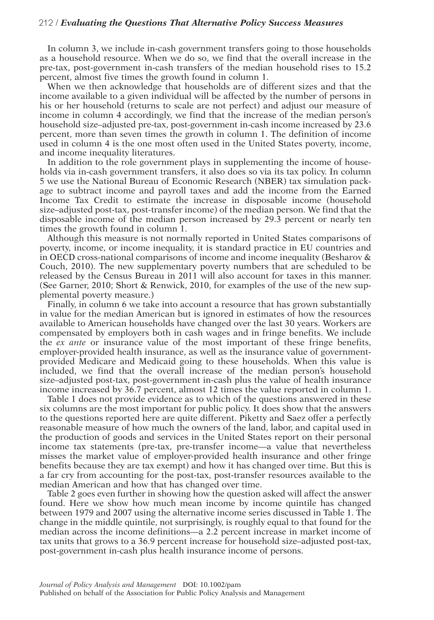In column 3, we include in-cash government transfers going to those households as a household resource. When we do so, we find that the overall increase in the pre-tax, post-government in-cash transfers of the median household rises to 15.2 percent, almost five times the growth found in column 1.

When we then acknowledge that households are of different sizes and that the income available to a given individual will be affected by the number of persons in his or her household (returns to scale are not perfect) and adjust our measure of income in column 4 accordingly, we find that the increase of the median person's household size–adjusted pre-tax, post-government in-cash income increased by 23.6 percent, more than seven times the growth in column 1. The definition of income used in column 4 is the one most often used in the United States poverty, income, and income inequality literatures.

In addition to the role government plays in supplementing the income of households via in-cash government transfers, it also does so via its tax policy. In column 5 we use the National Bureau of Economic Research (NBER) tax simulation package to subtract income and payroll taxes and add the income from the Earned Income Tax Credit to estimate the increase in disposable income (household size–adjusted post-tax, post-transfer income) of the median person. We find that the disposable income of the median person increased by 29.3 percent or nearly ten times the growth found in column 1.

Although this measure is not normally reported in United States comparisons of poverty, income, or income inequality, it is standard practice in EU countries and in OECD cross-national comparisons of income and income inequality (Besharov & Couch, 2010). The new supplementary poverty numbers that are scheduled to be released by the Census Bureau in 2011 will also account for taxes in this manner. (See Garner, 2010; Short & Renwick, 2010, for examples of the use of the new supplemental poverty measure.)

Finally, in column 6 we take into account a resource that has grown substantially in value for the median American but is ignored in estimates of how the resources available to American households have changed over the last 30 years. Workers are compensated by employers both in cash wages and in fringe benefits. We include the *ex ante* or insurance value of the most important of these fringe benefits, employer-provided health insurance, as well as the insurance value of governmentprovided Medicare and Medicaid going to these households. When this value is included, we find that the overall increase of the median person's household size–adjusted post-tax, post-government in-cash plus the value of health insurance income increased by 36.7 percent, almost 12 times the value reported in column 1.

Table 1 does not provide evidence as to which of the questions answered in these six columns are the most important for public policy. It does show that the answers to the questions reported here are quite different. Piketty and Saez offer a perfectly reasonable measure of how much the owners of the land, labor, and capital used in the production of goods and services in the United States report on their personal income tax statements (pre-tax, pre-transfer income—a value that nevertheless misses the market value of employer-provided health insurance and other fringe benefits because they are tax exempt) and how it has changed over time. But this is a far cry from accounting for the post-tax, post-transfer resources available to the median American and how that has changed over time.

Table 2 goes even further in showing how the question asked will affect the answer found. Here we show how much mean income by income quintile has changed between 1979 and 2007 using the alternative income series discussed in Table 1. The change in the middle quintile, not surprisingly, is roughly equal to that found for the median across the income definitions—a 2.2 percent increase in market income of tax units that grows to a 36.9 percent increase for household size–adjusted post-tax, post-government in-cash plus health insurance income of persons.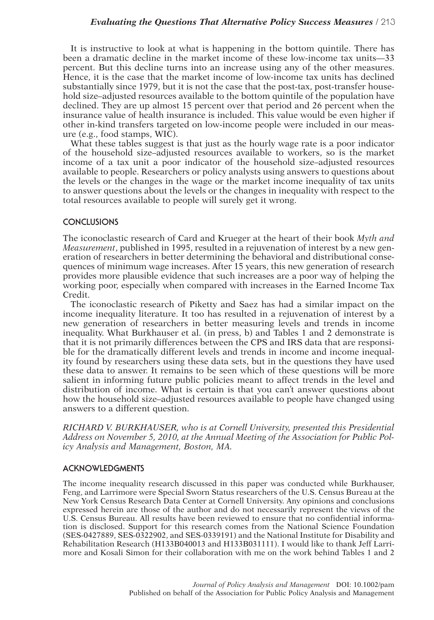It is instructive to look at what is happening in the bottom quintile. There has been a dramatic decline in the market income of these low-income tax units—33 percent. But this decline turns into an increase using any of the other measures. Hence, it is the case that the market income of low-income tax units has declined substantially since 1979, but it is not the case that the post-tax, post-transfer household size–adjusted resources available to the bottom quintile of the population have declined. They are up almost 15 percent over that period and 26 percent when the insurance value of health insurance is included. This value would be even higher if other in-kind transfers targeted on low-income people were included in our measure (e.g., food stamps, WIC).

What these tables suggest is that just as the hourly wage rate is a poor indicator of the household size–adjusted resources available to workers, so is the market income of a tax unit a poor indicator of the household size–adjusted resources available to people. Researchers or policy analysts using answers to questions about the levels or the changes in the wage or the market income inequality of tax units to answer questions about the levels or the changes in inequality with respect to the total resources available to people will surely get it wrong.

# **CONCLUSIONS**

The iconoclastic research of Card and Krueger at the heart of their book *Myth and Measurement*, published in 1995, resulted in a rejuvenation of interest by a new generation of researchers in better determining the behavioral and distributional consequences of minimum wage increases. After 15 years, this new generation of research provides more plausible evidence that such increases are a poor way of helping the working poor, especially when compared with increases in the Earned Income Tax Credit.

The iconoclastic research of Piketty and Saez has had a similar impact on the income inequality literature. It too has resulted in a rejuvenation of interest by a new generation of researchers in better measuring levels and trends in income inequality. What Burkhauser et al. (in press, b) and Tables 1 and 2 demonstrate is that it is not primarily differences between the CPS and IRS data that are responsible for the dramatically different levels and trends in income and income inequality found by researchers using these data sets, but in the questions they have used these data to answer. It remains to be seen which of these questions will be more salient in informing future public policies meant to affect trends in the level and distribution of income. What is certain is that you can't answer questions about how the household size–adjusted resources available to people have changed using answers to a different question.

*RICHARD V. BURKHAUSER, who is at Cornell University, presented this Presidential Address on November 5, 2010, at the Annual Meeting of the Association for Public Policy Analysis and Management, Boston, MA.*

#### **ACKNOWLEDGMENTS**

The income inequality research discussed in this paper was conducted while Burkhauser, Feng, and Larrimore were Special Sworn Status researchers of the U.S. Census Bureau at the New York Census Research Data Center at Cornell University. Any opinions and conclusions expressed herein are those of the author and do not necessarily represent the views of the U.S. Census Bureau. All results have been reviewed to ensure that no confidential information is disclosed. Support for this research comes from the National Science Foundation (SES-0427889, SES-0322902, and SES-0339191) and the National Institute for Disability and Rehabilitation Research (H133B040013 and H133B031111). I would like to thank Jeff Larrimore and Kosali Simon for their collaboration with me on the work behind Tables 1 and 2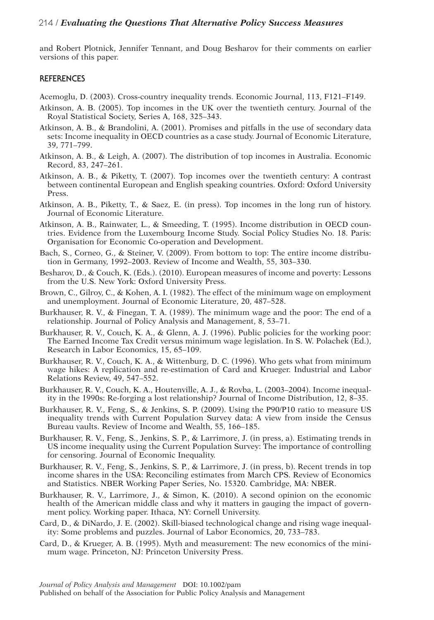and Robert Plotnick, Jennifer Tennant, and Doug Besharov for their comments on earlier versions of this paper.

# **REFERENCES**

Acemoglu, D. (2003). Cross-country inequality trends. Economic Journal, 113, F121–F149.

- Atkinson, A. B. (2005). Top incomes in the UK over the twentieth century. Journal of the Royal Statistical Society, Series A, 168, 325–343.
- Atkinson, A. B., & Brandolini, A. (2001). Promises and pitfalls in the use of secondary data sets: Income inequality in OECD countries as a case study. Journal of Economic Literature, 39, 771–799.
- Atkinson, A. B., & Leigh, A. (2007). The distribution of top incomes in Australia. Economic Record, 83, 247–261.
- Atkinson, A. B., & Piketty, T. (2007). Top incomes over the twentieth century: A contrast between continental European and English speaking countries. Oxford: Oxford University Press.
- Atkinson, A. B., Piketty, T., & Saez, E. (in press). Top incomes in the long run of history. Journal of Economic Literature.
- Atkinson, A. B., Rainwater, L., & Smeeding, T. (1995). Income distribution in OECD countries. Evidence from the Luxembourg Income Study. Social Policy Studies No. 18. Paris: Organisation for Economic Co-operation and Development.
- Bach, S., Corneo, G., & Steiner, V. (2009). From bottom to top: The entire income distribution in Germany, 1992–2003. Review of Income and Wealth, 55, 303–330.
- Besharov, D., & Couch, K. (Eds.). (2010). European measures of income and poverty: Lessons from the U.S. New York: Oxford University Press.
- Brown, C., Gilroy, C., & Kohen, A. I. (1982). The effect of the minimum wage on employment and unemployment. Journal of Economic Literature, 20, 487–528.
- Burkhauser, R. V., & Finegan, T. A. (1989). The minimum wage and the poor: The end of a relationship. Journal of Policy Analysis and Management, 8, 53–71.
- Burkhauser, R. V., Couch, K. A., & Glenn, A. J. (1996). Public policies for the working poor: The Earned Income Tax Credit versus minimum wage legislation. In S. W. Polachek (Ed.), Research in Labor Economics, 15, 65–109.
- Burkhauser, R. V., Couch, K. A., & Wittenburg, D. C. (1996). Who gets what from minimum wage hikes: A replication and re-estimation of Card and Krueger. Industrial and Labor Relations Review, 49, 547–552.
- Burkhauser, R. V., Couch, K. A., Houtenville, A. J., & Rovba, L. (2003–2004). Income inequality in the 1990s: Re-forging a lost relationship? Journal of Income Distribution, 12, 8–35.
- Burkhauser, R. V., Feng, S., & Jenkins, S. P. (2009). Using the P90/P10 ratio to measure US inequality trends with Current Population Survey data: A view from inside the Census Bureau vaults. Review of Income and Wealth, 55, 166–185.
- Burkhauser, R. V., Feng, S., Jenkins, S. P., & Larrimore, J. (in press, a). Estimating trends in US income inequality using the Current Population Survey: The importance of controlling for censoring. Journal of Economic Inequality.
- Burkhauser, R. V., Feng, S., Jenkins, S. P., & Larrimore, J. (in press, b). Recent trends in top income shares in the USA: Reconciling estimates from March CPS. Review of Economics and Statistics. NBER Working Paper Series, No. 15320. Cambridge, MA: NBER.
- Burkhauser, R. V., Larrimore, J., & Simon, K. (2010). A second opinion on the economic health of the American middle class and why it matters in gauging the impact of government policy. Working paper. Ithaca, NY: Cornell University.
- Card, D., & DiNardo, J. E. (2002). Skill-biased technological change and rising wage inequality: Some problems and puzzles. Journal of Labor Economics, 20, 733–783.
- Card, D., & Krueger, A. B. (1995). Myth and measurement: The new economics of the minimum wage. Princeton, NJ: Princeton University Press.